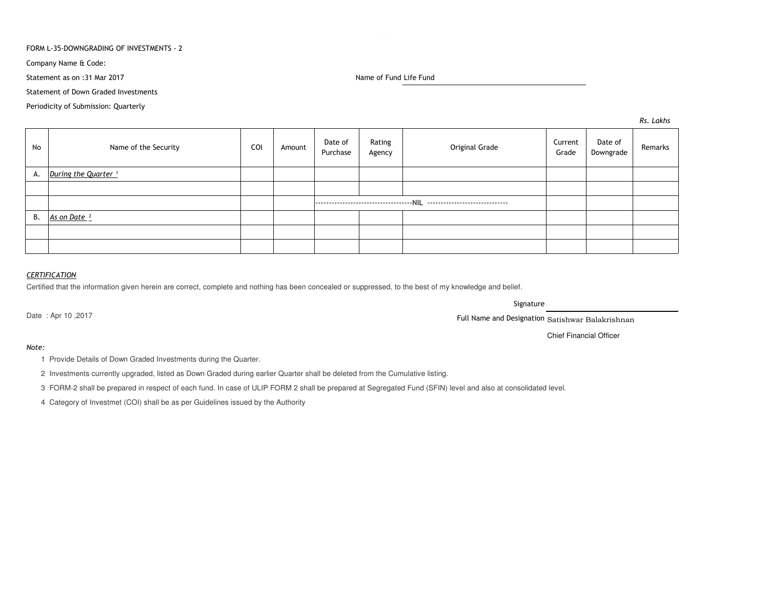### FORM L-35-DOWNGRADING OF INVESTMENTS - 2

Company Name & Code:

Statement as on :31 Mar 2017

Name of Fund Life Fund

Statement of Down Graded Investments

Periodicity of Submission: Quarterly

*Rs. Lakhs*

| No | Name of the Security            | COI | Amount | Date of<br>Purchase | Rating<br>Agency | Original Grade | Current<br>Grade | Date of<br>Downgrade | Remarks |
|----|---------------------------------|-----|--------|---------------------|------------------|----------------|------------------|----------------------|---------|
| А. | During the Quarter <sup>1</sup> |     |        |                     |                  |                |                  |                      |         |
|    |                                 |     |        |                     |                  |                |                  |                      |         |
|    |                                 |     |        |                     |                  |                |                  |                      |         |
| В. | As on Date <sup>2</sup>         |     |        |                     |                  |                |                  |                      |         |
|    |                                 |     |        |                     |                  |                |                  |                      |         |
|    |                                 |     |        |                     |                  |                |                  |                      |         |

## *CERTIFICATION*

Certified that the information given herein are correct, complete and nothing has been concealed or suppressed, to the best of my knowledge and belief.

Date : Apr 10 ,2017

Signature

Full Name and Designation Satishwar Balakrishnan

Chief Financial Officer

# *Note:*

1 Provide Details of Down Graded Investments during the Quarter.

2 Investments currently upgraded, listed as Down Graded during earlier Quarter shall be deleted from the Cumulative listing.

3 FORM-2 shall be prepared in respect of each fund. In case of ULIP FORM 2 shall be prepared at Segregated Fund (SFIN) level and also at consolidated level.

4 Category of Investmet (COI) shall be as per Guidelines issued by the Authority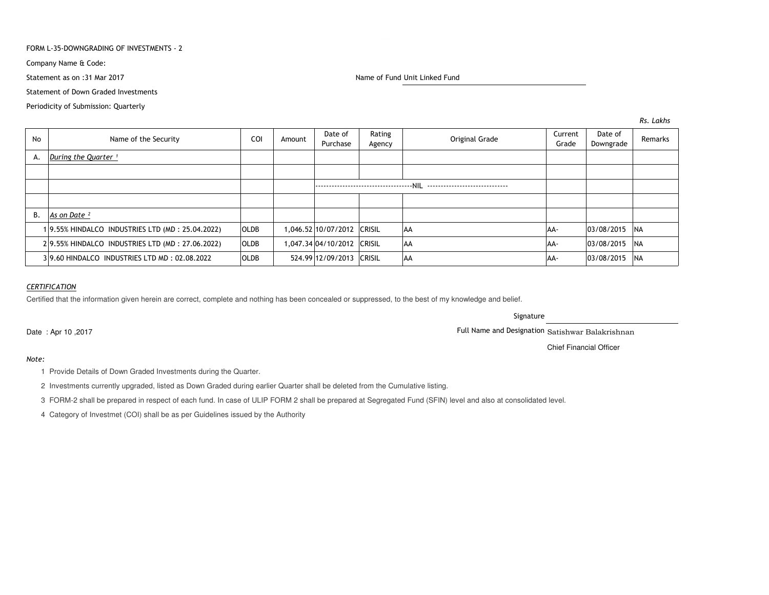### FORM L-35-DOWNGRADING OF INVESTMENTS - 2

Company Name & Code:

Statement as on :31 Mar 2017

Statement of Down Graded Investments

Periodicity of Submission: Quarterly

Name of Fund Unit Linked Fund

| <b>No</b> | Name of the Security                            | COI         | Amount | Date of<br>Purchase        | Rating<br>Agency | Original Grade | Current<br>Grade | Date of<br>Downgrade | Remarks |
|-----------|-------------------------------------------------|-------------|--------|----------------------------|------------------|----------------|------------------|----------------------|---------|
|           | A. During the Quarter $1$                       |             |        |                            |                  |                |                  |                      |         |
|           |                                                 |             |        |                            |                  |                |                  |                      |         |
|           |                                                 |             |        |                            |                  |                |                  |                      |         |
|           |                                                 |             |        |                            |                  |                |                  |                      |         |
| <b>B.</b> | As on Date <sup>2</sup>                         |             |        |                            |                  |                |                  |                      |         |
|           | 19.55% HINDALCO INDUSTRIES LTD (MD: 25.04.2022) | <b>OLDB</b> |        | 1,046.52 10/07/2012 CRISIL |                  | <b>AA</b>      | AA-              | 03/08/2015 NA        |         |
|           | 29.55% HINDALCO INDUSTRIES LTD (MD: 27.06.2022) | <b>OLDB</b> |        | L,047.34 04/10/2012 CRISIL |                  | <b>AA</b>      | AA-              | 03/08/2015 NA        |         |
|           | 39.60 HINDALCO INDUSTRIES LTD MD: 02.08.2022    | <b>OLDB</b> |        | 524.99 12/09/2013 CRISIL   |                  | AA             | AA-              | 03/08/2015 NA        |         |

# *CERTIFICATION*

Certified that the information given herein are correct, complete and nothing has been concealed or suppressed, to the best of my knowledge and belief.

Signature

Full Name and Designation Satishwar Balakrishnan

Chief Financial Officer

Date : Apr 10 ,2017

*Note:*

1 Provide Details of Down Graded Investments during the Quarter.

2 Investments currently upgraded, listed as Down Graded during earlier Quarter shall be deleted from the Cumulative listing.

3 FORM-2 shall be prepared in respect of each fund. In case of ULIP FORM 2 shall be prepared at Segregated Fund (SFIN) level and also at consolidated level.

4 Category of Investmet (COI) shall be as per Guidelines issued by the Authority

*Rs. Lakhs*